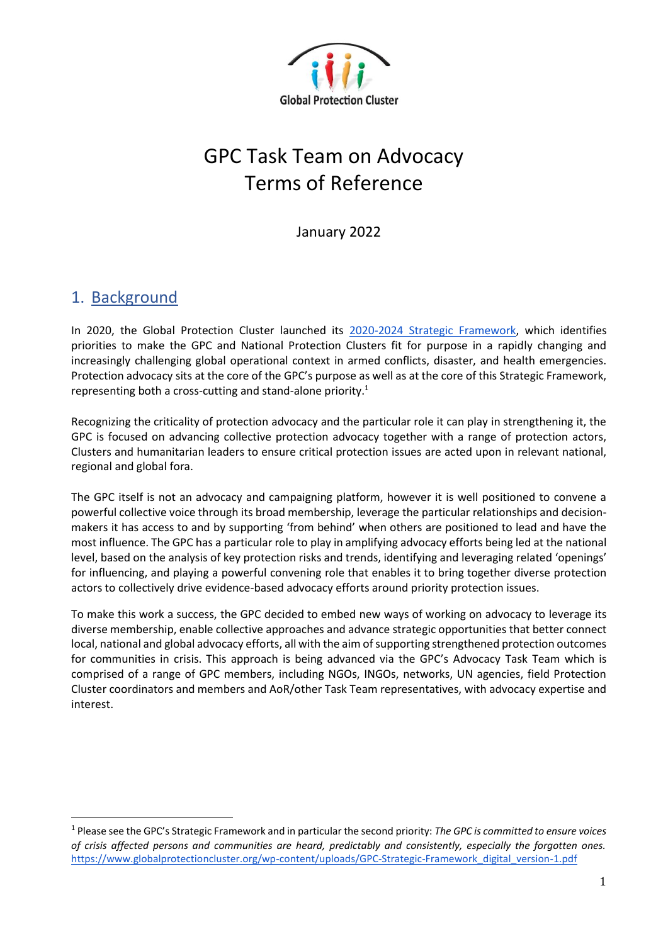

# GPC Task Team on Advocacy Terms of Reference

January 2022

#### 1. Background

In 2020, the Global Protection Cluster launched its [2020-2024 Strategic Framework,](https://www.globalprotectioncluster.org/wp-content/uploads/GPC-Strategic-Framework_digital_version-1.pdf) which identifies priorities to make the GPC and National Protection Clusters fit for purpose in a rapidly changing and increasingly challenging global operational context in armed conflicts, disaster, and health emergencies. Protection advocacy sits at the core of the GPC's purpose as well as at the core of this Strategic Framework, representing both a cross-cutting and stand-alone priority.<sup>1</sup>

Recognizing the criticality of protection advocacy and the particular role it can play in strengthening it, the GPC is focused on advancing collective protection advocacy together with a range of protection actors, Clusters and humanitarian leaders to ensure critical protection issues are acted upon in relevant national, regional and global fora.

The GPC itself is not an advocacy and campaigning platform, however it is well positioned to convene a powerful collective voice through its broad membership, leverage the particular relationships and decisionmakers it has access to and by supporting 'from behind' when others are positioned to lead and have the most influence. The GPC has a particular role to play in amplifying advocacy efforts being led at the national level, based on the analysis of key protection risks and trends, identifying and leveraging related 'openings' for influencing, and playing a powerful convening role that enables it to bring together diverse protection actors to collectively drive evidence-based advocacy efforts around priority protection issues.

To make this work a success, the GPC decided to embed new ways of working on advocacy to leverage its diverse membership, enable collective approaches and advance strategic opportunities that better connect local, national and global advocacy efforts, all with the aim of supporting strengthened protection outcomes for communities in crisis. This approach is being advanced via the GPC's Advocacy Task Team which is comprised of a range of GPC members, including NGOs, INGOs, networks, UN agencies, field Protection Cluster coordinators and members and AoR/other Task Team representatives, with advocacy expertise and interest.

<sup>1</sup> Please see the GPC's Strategic Framework and in particular the second priority: *The GPC is committed to ensure voices of crisis affected persons and communities are heard, predictably and consistently, especially the forgotten ones.*  [https://www.globalprotectioncluster.org/wp-content/uploads/GPC-Strategic-Framework\\_digital\\_version-1.pdf](https://www.globalprotectioncluster.org/wp-content/uploads/GPC-Strategic-Framework_digital_version-1.pdf)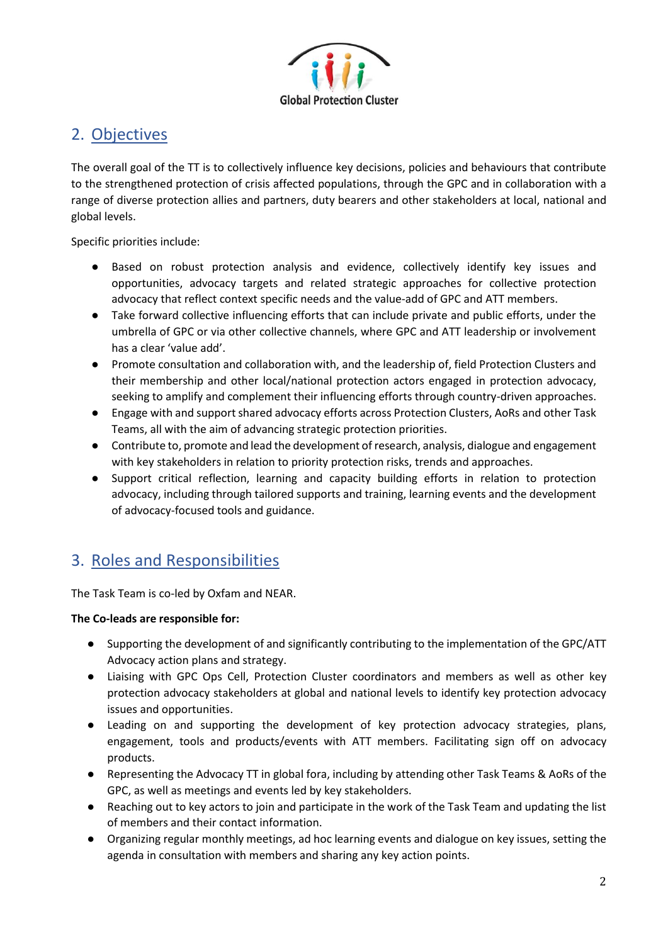

#### 2. Objectives

The overall goal of the TT is to collectively influence key decisions, policies and behaviours that contribute to the strengthened protection of crisis affected populations, through the GPC and in collaboration with a range of diverse protection allies and partners, duty bearers and other stakeholders at local, national and global levels.

Specific priorities include:

- Based on robust protection analysis and evidence, collectively identify key issues and opportunities, advocacy targets and related strategic approaches for collective protection advocacy that reflect context specific needs and the value-add of GPC and ATT members.
- Take forward collective influencing efforts that can include private and public efforts, under the umbrella of GPC or via other collective channels, where GPC and ATT leadership or involvement has a clear 'value add'.
- Promote consultation and collaboration with, and the leadership of, field Protection Clusters and their membership and other local/national protection actors engaged in protection advocacy, seeking to amplify and complement their influencing efforts through country-driven approaches.
- Engage with and support shared advocacy efforts across Protection Clusters, AoRs and other Task Teams, all with the aim of advancing strategic protection priorities.
- Contribute to, promote and lead the development of research, analysis, dialogue and engagement with key stakeholders in relation to priority protection risks, trends and approaches.
- Support critical reflection, learning and capacity building efforts in relation to protection advocacy, including through tailored supports and training, learning events and the development of advocacy-focused tools and guidance.

## 3. Roles and Responsibilities

The Task Team is co-led by Oxfam and NEAR.

#### **The Co-leads are responsible for:**

- Supporting the development of and significantly contributing to the implementation of the GPC/ATT Advocacy action plans and strategy.
- Liaising with GPC Ops Cell, Protection Cluster coordinators and members as well as other key protection advocacy stakeholders at global and national levels to identify key protection advocacy issues and opportunities.
- Leading on and supporting the development of key protection advocacy strategies, plans, engagement, tools and products/events with ATT members. Facilitating sign off on advocacy products.
- Representing the Advocacy TT in global fora, including by attending other Task Teams & AoRs of the GPC, as well as meetings and events led by key stakeholders.
- Reaching out to key actors to join and participate in the work of the Task Team and updating the list of members and their contact information.
- Organizing regular monthly meetings, ad hoc learning events and dialogue on key issues, setting the agenda in consultation with members and sharing any key action points.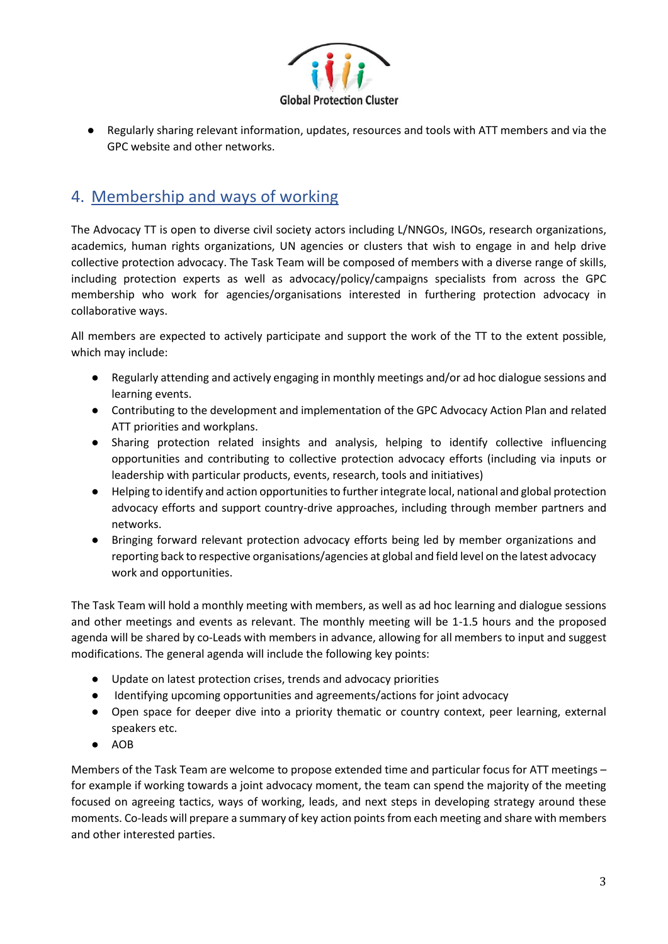

● Regularly sharing relevant information, updates, resources and tools with ATT members and via the GPC website and other networks.

# 4. Membership and ways of working

The Advocacy TT is open to diverse civil society actors including L/NNGOs, INGOs, research organizations, academics, human rights organizations, UN agencies or clusters that wish to engage in and help drive collective protection advocacy. The Task Team will be composed of members with a diverse range of skills, including protection experts as well as advocacy/policy/campaigns specialists from across the GPC membership who work for agencies/organisations interested in furthering protection advocacy in collaborative ways.

All members are expected to actively participate and support the work of the TT to the extent possible, which may include:

- Regularly attending and actively engaging in monthly meetings and/or ad hoc dialogue sessions and learning events.
- Contributing to the development and implementation of the GPC Advocacy Action Plan and related ATT priorities and workplans.
- Sharing protection related insights and analysis, helping to identify collective influencing opportunities and contributing to collective protection advocacy efforts (including via inputs or leadership with particular products, events, research, tools and initiatives)
- Helping to identify and action opportunities to further integrate local, national and global protection advocacy efforts and support country-drive approaches, including through member partners and networks.
- Bringing forward relevant protection advocacy efforts being led by member organizations and reporting back to respective organisations/agencies at global and field level on the latest advocacy work and opportunities.

The Task Team will hold a monthly meeting with members, as well as ad hoc learning and dialogue sessions and other meetings and events as relevant. The monthly meeting will be 1-1.5 hours and the proposed agenda will be shared by co-Leads with members in advance, allowing for all members to input and suggest modifications. The general agenda will include the following key points:

- Update on latest protection crises, trends and advocacy priorities
- Identifying upcoming opportunities and agreements/actions for joint advocacy
- Open space for deeper dive into a priority thematic or country context, peer learning, external speakers etc.
- AOB

Members of the Task Team are welcome to propose extended time and particular focus for ATT meetings – for example if working towards a joint advocacy moment, the team can spend the majority of the meeting focused on agreeing tactics, ways of working, leads, and next steps in developing strategy around these moments. Co-leads will prepare a summary of key action points from each meeting and share with members and other interested parties.